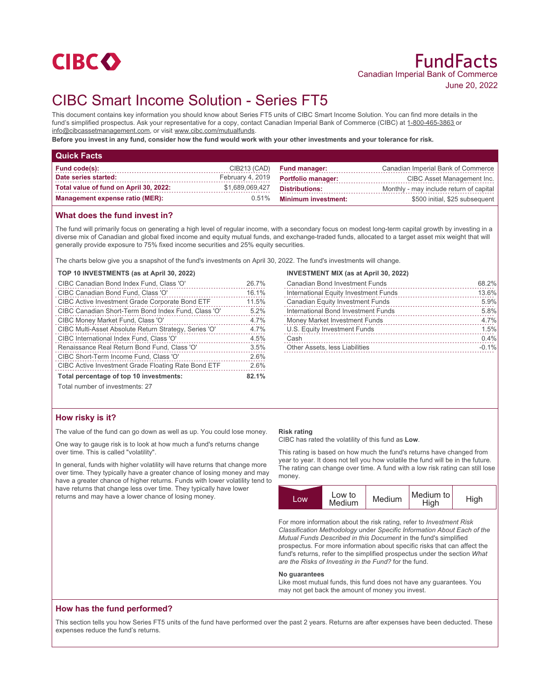

# CIBC Smart Income Solution - Series FT5

This document contains key information you should know about Series FT5 units of CIBC Smart Income Solution. You can find more details in the fund's simplified prospectus. Ask your representative for a copy, contact Canadian Imperial Bank of Commerce (CIBC) at 1-800-465-3863 or info@cibcassetmanagement.com, or visit www.cibc.com/mutualfunds.

**Before you invest in any fund, consider how the fund would work with your other investments and your tolerance for risk.**

| <b>Quick Facts</b>                     |                  |                            |                                         |
|----------------------------------------|------------------|----------------------------|-----------------------------------------|
| <b>Fund code(s):</b>                   | CIB213 (CAD)     | <b>Fund manager:</b>       | Canadian Imperial Bank of Commerce      |
| Date series started:                   | February 4, 2019 | <b>Portfolio manager:</b>  | CIBC Asset Management Inc.              |
| Total value of fund on April 30, 2022: | \$1,689,069,427  | <b>Distributions:</b>      | Monthly - may include return of capital |
| <b>Management expense ratio (MER):</b> | $0.51\%$         | <b>Minimum investment:</b> | \$500 initial, \$25 subsequent          |

#### **What does the fund invest in?**

The fund will primarily focus on generating a high level of regular income, with a secondary focus on modest long-term capital growth by investing in a diverse mix of Canadian and global fixed income and equity mutual funds, and exchange-traded funds, allocated to a target asset mix weight that will generally provide exposure to 75% fixed income securities and 25% equity securities.

The charts below give you a snapshot of the fund's investments on April 30, 2022. The fund's investments will change.

#### **TOP 10 INVESTMENTS (as at April 30, 2022)**

| CIBC Canadian Bond Index Fund, Class 'O'                   | 26.7% |
|------------------------------------------------------------|-------|
| CIBC Canadian Bond Fund, Class 'O'                         | 16.1% |
| <b>CIBC Active Investment Grade Corporate Bond ETF</b>     | 11.5% |
| CIBC Canadian Short-Term Bond Index Fund, Class 'O'        | 5.2%  |
| CIBC Money Market Fund, Class 'O'                          | 4.7%  |
| CIBC Multi-Asset Absolute Return Strategy, Series 'O'      | 4.7%  |
| CIBC International Index Fund, Class 'O'                   | 4.5%  |
| Renaissance Real Return Bond Fund, Class 'O'               | 3.5%  |
| CIBC Short-Term Income Fund, Class 'O'                     | 2.6%  |
| <b>CIBC Active Investment Grade Floating Rate Bond ETF</b> | 2.6%  |
| Total percentage of top 10 investments:                    |       |
| Total number of investments: 27                            |       |

## **INVESTMENT MIX (as at April 30, 2022)**

|                                | <b>Canadian Bond Investment Funds</b>   | 68.2%   |
|--------------------------------|-----------------------------------------|---------|
|                                | International Equity Investment Funds   | 13.6%   |
|                                | <b>Canadian Equity Investment Funds</b> | 5.9%    |
|                                | International Bond Investment Funds     | 5.8%    |
|                                | Money Market Investment Funds           | 4.7%    |
|                                | U.S. Equity Investment Funds            | 1.5%    |
| Cash                           |                                         | 0.4%    |
| Other Assets, less Liabilities |                                         | $-0.1%$ |
|                                |                                         |         |

# **How risky is it?**

The value of the fund can go down as well as up. You could lose money.

One way to gauge risk is to look at how much a fund's returns change over time. This is called "volatility".

In general, funds with higher volatility will have returns that change more over time. They typically have a greater chance of losing money and may have a greater chance of higher returns. Funds with lower volatility tend to have returns that change less over time. They typically have lower returns and may have a lower chance of losing money.

#### **Risk rating**

CIBC has rated the volatility of this fund as **Low**.

This rating is based on how much the fund's returns have changed from year to year. It does not tell you how volatile the fund will be in the future. The rating can change over time. A fund with a low risk rating can still lose money.



For more information about the risk rating, refer to *Investment Risk Classification Methodology* under *Specific Information About Each of the Mutual Funds Described in this Document* in the fund's simplified prospectus. For more information about specific risks that can affect the fund's returns, refer to the simplified prospectus under the section *What are the Risks of Investing in the Fund?* for the fund.

#### **No guarantees**

Like most mutual funds, this fund does not have any guarantees. You may not get back the amount of money you invest.

#### **How has the fund performed?**

This section tells you how Series FT5 units of the fund have performed over the past 2 years. Returns are after expenses have been deducted. These expenses reduce the fund's returns.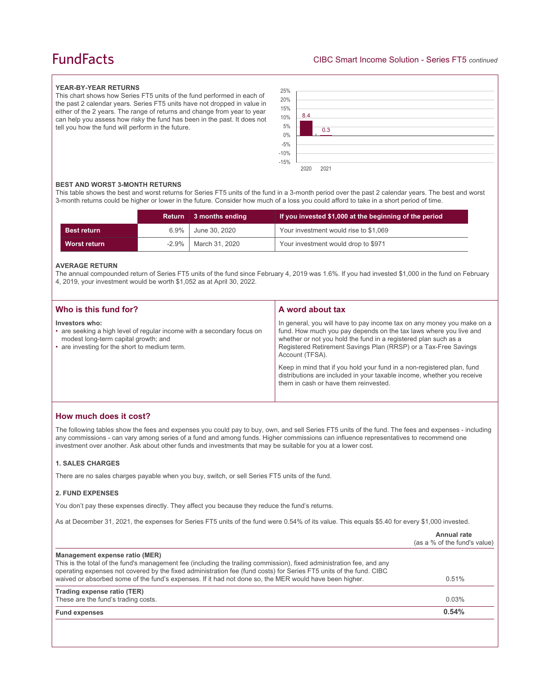# **FundFacts**

#### **YEAR-BY-YEAR RETURNS**

This chart shows how Series FT5 units of the fund performed in each of the past 2 calendar years. Series FT5 units have not dropped in value in either of the 2 years. The range of returns and change from year to year can help you assess how risky the fund has been in the past. It does not tell you how the fund will perform in the future.



#### **BEST AND WORST 3-MONTH RETURNS**

This table shows the best and worst returns for Series FT5 units of the fund in a 3-month period over the past 2 calendar years. The best and worst 3-month returns could be higher or lower in the future. Consider how much of a loss you could afford to take in a short period of time.

|                    |          | Return 3 months ending | If you invested \$1,000 at the beginning of the period |
|--------------------|----------|------------------------|--------------------------------------------------------|
| <b>Best return</b> | 6.9%     | June 30, 2020          | Your investment would rise to \$1,069                  |
| Worst return       | $-2.9\%$ | March 31, 2020         | Your investment would drop to \$971                    |

#### **AVERAGE RETURN**

The annual compounded return of Series FT5 units of the fund since February 4, 2019 was 1.6%. If you had invested \$1,000 in the fund on February 4, 2019, your investment would be worth \$1,052 as at April 30, 2022.

| Who is this fund for?                                                                                                                                                             | A word about tax                                                                                                                                                                                                                                                                                                                                                                                                                                                                                  |
|-----------------------------------------------------------------------------------------------------------------------------------------------------------------------------------|---------------------------------------------------------------------------------------------------------------------------------------------------------------------------------------------------------------------------------------------------------------------------------------------------------------------------------------------------------------------------------------------------------------------------------------------------------------------------------------------------|
| Investors who:<br>• are seeking a high level of regular income with a secondary focus on<br>modest long-term capital growth; and<br>• are investing for the short to medium term. | In general, you will have to pay income tax on any money you make on a<br>fund. How much you pay depends on the tax laws where you live and<br>whether or not you hold the fund in a registered plan such as a<br>Registered Retirement Savings Plan (RRSP) or a Tax-Free Savings<br>Account (TFSA).<br>Keep in mind that if you hold your fund in a non-registered plan, fund<br>distributions are included in your taxable income, whether you receive<br>them in cash or have them reinvested. |
|                                                                                                                                                                                   |                                                                                                                                                                                                                                                                                                                                                                                                                                                                                                   |

### **How much does it cost?**

The following tables show the fees and expenses you could pay to buy, own, and sell Series FT5 units of the fund. The fees and expenses - including any commissions - can vary among series of a fund and among funds. Higher commissions can influence representatives to recommend one investment over another. Ask about other funds and investments that may be suitable for you at a lower cost.

#### **1. SALES CHARGES**

There are no sales charges payable when you buy, switch, or sell Series FT5 units of the fund.

#### **2. FUND EXPENSES**

You don't pay these expenses directly. They affect you because they reduce the fund's returns.

As at December 31, 2021, the expenses for Series FT5 units of the fund were 0.54% of its value. This equals \$5.40 for every \$1,000 invested.

|                                                                                                                                                                                                                                                                                                                                                                                         | Annual rate<br>(as a % of the fund's value) |
|-----------------------------------------------------------------------------------------------------------------------------------------------------------------------------------------------------------------------------------------------------------------------------------------------------------------------------------------------------------------------------------------|---------------------------------------------|
| Management expense ratio (MER)<br>This is the total of the fund's management fee (including the trailing commission), fixed administration fee, and any<br>operating expenses not covered by the fixed administration fee (fund costs) for Series FT5 units of the fund. CIBC<br>waived or absorbed some of the fund's expenses. If it had not done so, the MER would have been higher. | 0.51%                                       |
| Trading expense ratio (TER)<br>These are the fund's trading costs.                                                                                                                                                                                                                                                                                                                      | 0.03%                                       |
| <b>Fund expenses</b>                                                                                                                                                                                                                                                                                                                                                                    | 0.54%                                       |
|                                                                                                                                                                                                                                                                                                                                                                                         |                                             |